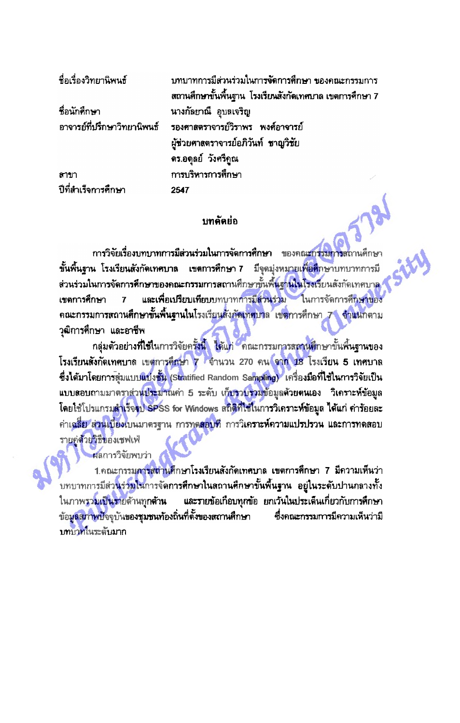ที่อเรื่องวิทยานิพนธ์ ำเทบาทการมีส่วนร่วมในการจัดการศึกษา ของคณะกรรมการ สถานศึกษาขั้นพื้นฐาน โรงเรียนสังกัดเทศบาล เขตการศึกษา 7 **ที่อนักดึกษา** นางกัลยาณี อุบลเจริญ อาจารย์ที่ปรึกษาวิทยานิพนธ์ รองศาสตราจารย์วิราพร พงศ์อาจารย์ ผู้ช่วยศาสตราจารย์อภิวันท์ ชาญวิชัย ดร.อดุลย์ วังศรีกูณ การบริหารการศึกษา สาขา ปีที่สำเร็จการศึกษา 2547

## บทคัดยึก

การวิจัยเรื่องบทบาทการมีส่วนร่วมในการจัดการศึกษา <u>ของคณะกรรมการสถานศึกษา</u> ขั้นพื้นฐาน โรงเรียนสังกัดเทศบาล เขตการศึกษา 7 ้มีจุดมุ่งหมายเพื่<mark>อศึ</mark>กษาบทบาทการมี .<br>ส่วนร่วมในการจัดการศึกษาของคณะกรรมการสถานศึกษาขั้นพื้นฐานในโรงเรียนสังกัดเทศบาล และเพื่อเปรียบเทียบบทบาท<mark>การมีส่วนร่ว</mark>ม ในการจัดการศึกษาของ เขตการศึกษา 7 ดณะกรรมการสถานศึกษาขั้นพื้นฐานในโรงเรียนสังกัดเทศบาล เขตการศึกษา 7 จำแนกตาม วุฒิการศึกษา และอาชีพ

ึกลุ่มตัวอย่าง**ที่ใช้ใ**นการวิจัยครั้งนี้ ได้แก่ คณะกรรมการสถานศึกษาขั้นพื้นฐานของ โรงเรียนสังกัดเทศบาล เขตการศึกษา 7 จำนวน 270 คน จาก 18 โรงเรียน 5 เทศบาล ซึ่งได้มาโดยการสุ่มแบบแบ่งชั้น (Stratified Random Sampling) เครื่องมือที่ไช้ในการวิจัยเป็น แบบสอบถามมาตราส่วน<mark>ประมาณ</mark>ค่า 5 ระดับ เก็บรวบรวมข้อมูลด้วยตนเอง วิเคราะห์ข้อมูล โดยใช้โปรแกรม<mark>สำเร็จจุป SP</mark>SS for Windows สถิติที่ใช้ในการวิเคราะ**ห์ข้อมูล ได้แ**ก่ ค่าร้อยละ ค่าเฉลี่ย ส่วนเบี่ยงเบนมาตรฐาน การทุดสอบที่ การวิเค**ราะห์ความแปรปรวน และการทุ**ดสอบ รายคู่ด้วยวิธีของเชฟเฟ่

ผลการวิจัยพบว่า

1.คณะกรรมการสตานศึกษาโรงเรียนสังกัดเทศบาล เขตการศึกษา 7 มีความเห็นว่า ้บทบาทการมีส่วนร่วมในการจัดการศึกษาในลถานศึกษาขั้นพื้นฐาน อยู่ในระดับปานกลางทั้ง ในภาพรวมเป็นรายด้านทุกด้าน และรายข้อเกือบทุกข้อ ยกเว้นในประเด็นเกี่ยวกับการศึกษา ข้อมูลสภาพปัจจุบันของชุมชนท้องถิ่นที่ตั้งของสถานศึกษา ซึ่งคณะกรรมการมีความเห็นว่ามี าเทรกทในระดับมาก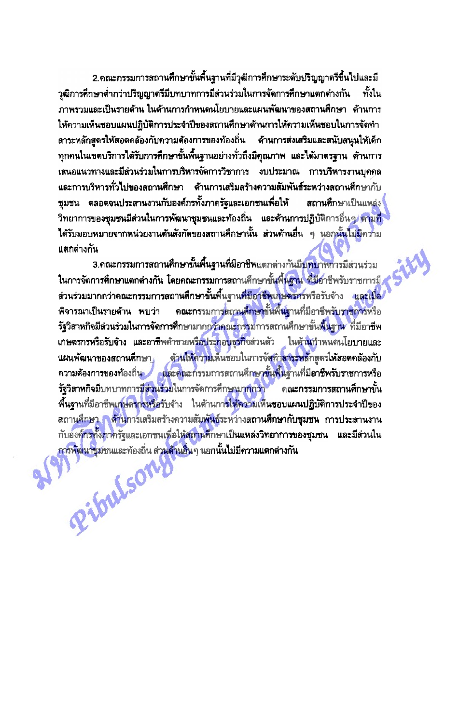2.คณะกรรมการสถานศึกษาขั้นพื้นฐานที่มีวุฒิการศึกษาระดับปริญญาตรีขึ้นไปและมี วุฒิการศึกษาต่ำกว่าปริญญาตรีมีบทบาทการมีล่วนร่วมในการจัดการศึกษาแตกต่างกัน ทั้งใน ภาพรวมและเป็นรายด้าน ในด้านการกำหนดนโยบายและแผนพัฒนาของสถานศึกษา ด้านการ ให้ความเห็นชอบแผนปฏิบัติการประจำปีของสถานศึกษาด้านการให้ความเห็นชอบในการจัดทำ สาระหลักสูตรให้สอดคล้องกับความต้องการของท้องถิ่น ต้านการส่งเสริมและสนับสนุนให้เด็ก ทุกคนในเขตบริการได้รับการศึกษาขั้นพื้นฐานอย่างทั่วถึงมีคุณภาพ และได้มาตรฐาน ด้านการ เสนอแนวทางและมีส่วนร่วมในการบริหารจัดการวิชาการ งบประมาณ การบริหารงานบุคคล นละการบริหารทั่วไปของสถานศึกษา ด้านการเสริมสร้างความสัมพันธ์ระหว่างสถานศึกษากับ ชุมชน ตลอดจนประสานงานกับองค์กรทั้งภาครัฐและเอกชนเพื่อให้ ิสถานศึกษาเป็นแหล่ง ี วิทยาการของชุมชนมีส่วนในกา**รพัฒน**าชุมชนและท้องถิ่น และด้านการปฏิบัติการอื่นๆ <mark>ตามที่</mark> ได้รับมอบหมายจากหน่วยงานต้นสังกัดของสถานศึกษานั้น ส่วนด้านอื่น ๆ นอกนั้นไม่มีความ แตกต่างกัน

3.คณะกรรมการสถานศึกษาขั้นพื้นฐานที่มีอาชีพแตกต่างกันมีบทบาทการมีส่วนร่วม ในการจัดการศึกษาแตกต่างกัน โดยคณะกรรมการสถานศึกษาขั้นพื้นฐาน ที่มีอาชีพรับราชการมี ส่วนร่วมมากกว่าคณะกรรมการสถานศึกษาขั้นพื้นฐานที่มีอาชีพเกษตรศรหรือรับจ้าง และเมื่อ **ุ คณะกร**รมการสถานศึกษานั้นพื้นฐานที่มีอาชีพรับราชการหรือ พิจารณาเป็นรายด้าน พบว่า รัฐวิสาหกิจมีส่วนร่วมในการจัดการศึกษามากกว่าคณะกรรมการสถานศึกษาขั้นพื้นฐาน<sup>,</sup> ที่มีอาชีพ เกษตรกรหรือรับจ้าง และอาชีพค้าขายหรือประกอบธุรกิจส่วนตัว ในด้านกำหนดนโยบายและ ด้านให้ความเห็นชอบในการจัดทำ<mark>ลาระหลักสูตรให้สอด</mark>คล้องกับ นผนพัฒนาของสถานศึกษา ความต้องการของท้องถิ่น และคณะกรรมการสถานศึกษาขั้นพื้นฐานที่มีอาชีพรับราชการหรือ รัฐวิสาหกิจมีบทบาทการมีส่วนร่วมในการจัดการศึกษามา<mark>กกว่า คณะกรรมการสถานศึกษาขั้</mark>น พื้นฐานที่มีอาชีพเกษ<mark>ตรกรหรือ</mark>รับจ้าง ในต้านกา**รให้ความเห็นขอบแผนปฏิบัติการประจำปีข**อง สถาน<mark>ศึกษา ด้าน</mark>การเสริมสร้างความสัมพันธ์ระหว่างส**ถานศึกษากับชุมชน** กา**รประสานงาน** กับองค์กรทั้งภาครัฐและเอกชนเพื่อให้สถานศึกษาเป็นแหล่งวิทยากา**รของชุมชน และมีส่วนใน** การพัฒนาชุมชนและท้องถิ่น ส่ว<mark>นด้านอื่น</mark>ๆ นอกนั้นไม่มีความแตกต่างกัน Pibulson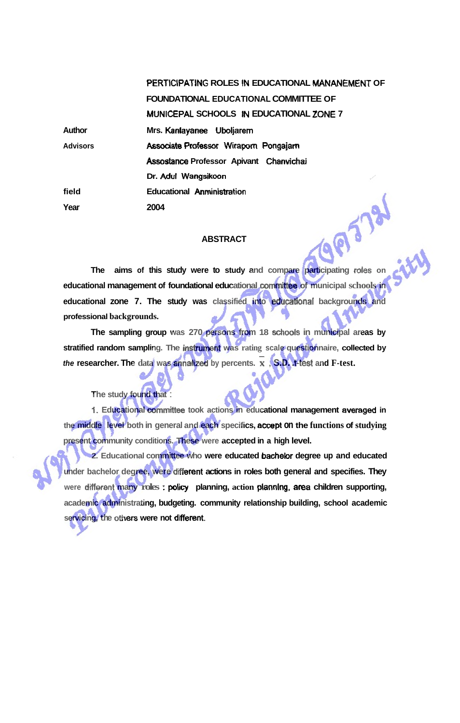|                 | PERTICIPATING ROLES IN EDUCATIONAL MANANEMENT OF |
|-----------------|--------------------------------------------------|
|                 | FOUNDATIONAL EDUCATIONAL COMMITTEE OF            |
|                 | MUNICEPAL SCHOOLS IN EDUCATIONAL ZONE 7          |
| Author          | Mrs. Kanlayanee Uboljarem                        |
| <b>Advisors</b> | Associate Professor Wiraporn Pongajarn           |
|                 | Assostance Professor Apivant Chanvichai          |
|                 | Dr. Adul Wangsikoon                              |
| field           | <b>Educational Anministration</b>                |
| Year            | 2004                                             |
|                 |                                                  |

## **ABSTRACT**

**The aims of this study were to study and compare participating roies on educational management of foundational educational committee of municipal schools in educational zone 7. The study was classified into educational backgrounds and professional backgrounds.** 

**The sampling group was 270 persons from 18 sdiools in municipal areas by stratified random sampling. The instrument was rating scale questionnaire, collected by the sampling group** was 270 persons from 18 schools in municipal a stratified random sampling. The instrument was rating scale questionnaire, collection the researcher. The data was annalized by percents.  $\bar{x}$ ,  $\bar{s}$ ,

**The study found that** :

**1. Educational committee took actions in educational management averaged in the middle level both in general and each specifics, acoept on the functions of studying present community conditions. These were accepted in a high level.** 

**2. Educational committee who were educated bachelor degree up and educated**  under bachelor degree, were different actions in roles both general and specifies. They were different many roles : policy planning, action planning, area children supporting, **academic administrating, budgeting. community relationship building, school academic**  servicing, the others were not different.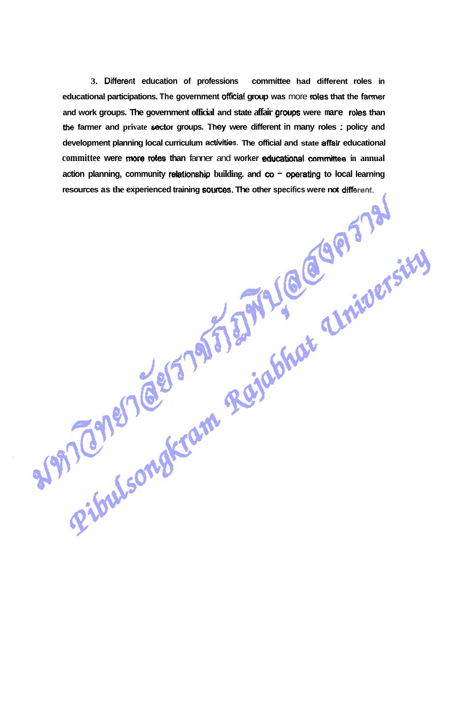**3. Different education of professions committee had different roles in**  educational participations. The government official group was more roles that the farmer **and work groups. The government official and state affair groups were mare roles than**  the farmer and private **sector groups.** They were different in many roles : policy and **development planning local curriculum amities. The official and state affair educational committee were more roles than fanner and worker educational committee in annual** action planning, community relationship building. and  $\infty$  - operating to local learning **resources as the experienced training sources. The other specifics were not different.**